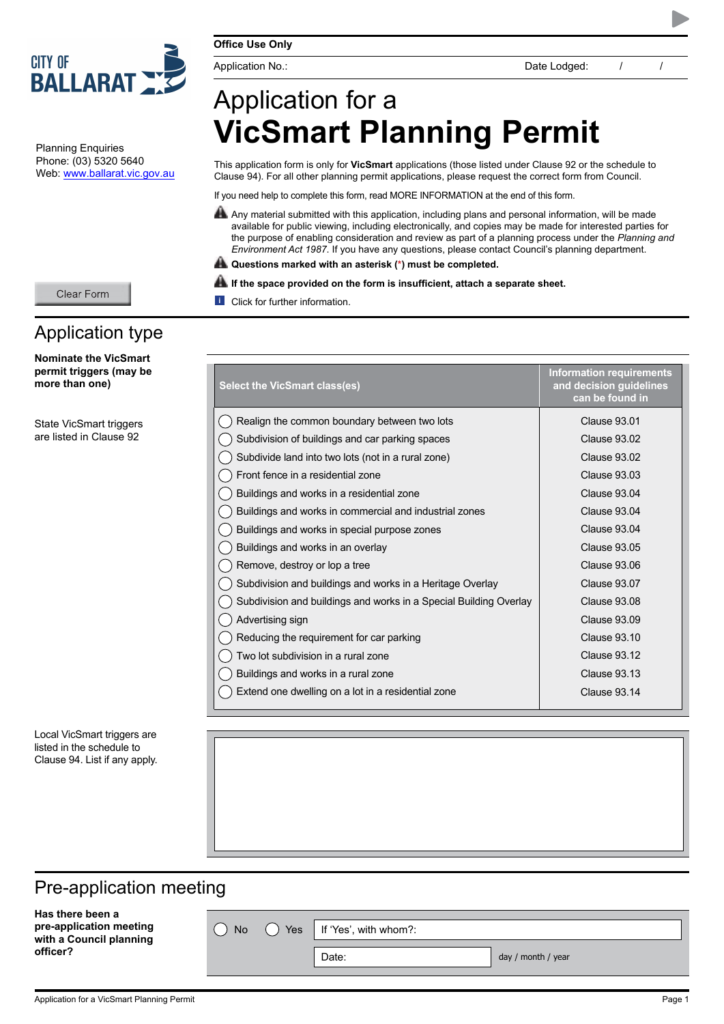

Planning Enquiries Phone: (03) 5320 5640 Web: www.ballarat.vic.gov.au

Application type

**Nominate the VicSmart permit triggers (may be more than one)**

Clear Form

State VicSmart triggers are listed in Clause 92

# Application for a **VicSmart Planning Permit**

This application form is only for **VicSmart** applications (those listed under Clause 92 or the schedule to Clause 94). For all other planning permit applications, please request the correct form from Council.

If you need help to complete this form, read MORE INFORMATION at the end of this form.

- Any material submitted with this application, including plans and personal information, will be made available for public viewing, including electronically, and copies may be made for interested parties for the purpose of enabling consideration and review as part of a planning process under the *Planning and Environment Act 1987*. If you have any questions, please contact Council's planning department.
- **Questions marked with an asterisk (\*) must be completed.**

#### **If the space provided on the form is insufficient, attach a separate sheet.**

**i** Click for further information.

| <b>Select the VicSmart class(es)</b>                              | <b>Information requirements</b><br>and decision guidelines<br>can be found in |
|-------------------------------------------------------------------|-------------------------------------------------------------------------------|
| Realign the common boundary between two lots                      | Clause 93.01                                                                  |
| Subdivision of buildings and car parking spaces                   | Clause 93.02                                                                  |
| Subdivide land into two lots (not in a rural zone)                | Clause 93.02                                                                  |
| Front fence in a residential zone                                 | <b>Clause 93.03</b>                                                           |
| Buildings and works in a residential zone                         | Clause 93.04                                                                  |
| Buildings and works in commercial and industrial zones            | Clause 93.04                                                                  |
| Buildings and works in special purpose zones                      | Clause 93.04                                                                  |
| Buildings and works in an overlay                                 | <b>Clause 93.05</b>                                                           |
| Remove, destroy or lop a tree                                     | <b>Clause 93.06</b>                                                           |
| Subdivision and buildings and works in a Heritage Overlay         | Clause 93.07                                                                  |
| Subdivision and buildings and works in a Special Building Overlay | Clause 93.08                                                                  |
| Advertising sign                                                  | <b>Clause 93.09</b>                                                           |
| Reducing the requirement for car parking                          | Clause 93.10                                                                  |
| Two lot subdivision in a rural zone                               | Clause 93.12                                                                  |
| Buildings and works in a rural zone                               | <b>Clause 93.13</b>                                                           |
| Extend one dwelling on a lot in a residential zone                | Clause 93.14                                                                  |

Local VicSmart triggers are listed in the schedule to Clause 94. List if any apply.

### Pre-application meeting

**Has there been a pre-application meeting with a Council planning officer?**

 $\bigcap$  No  $\bigcap$  Yes | If 'Yes', with whom?:

Date:  $\qquad \qquad$  day / month / year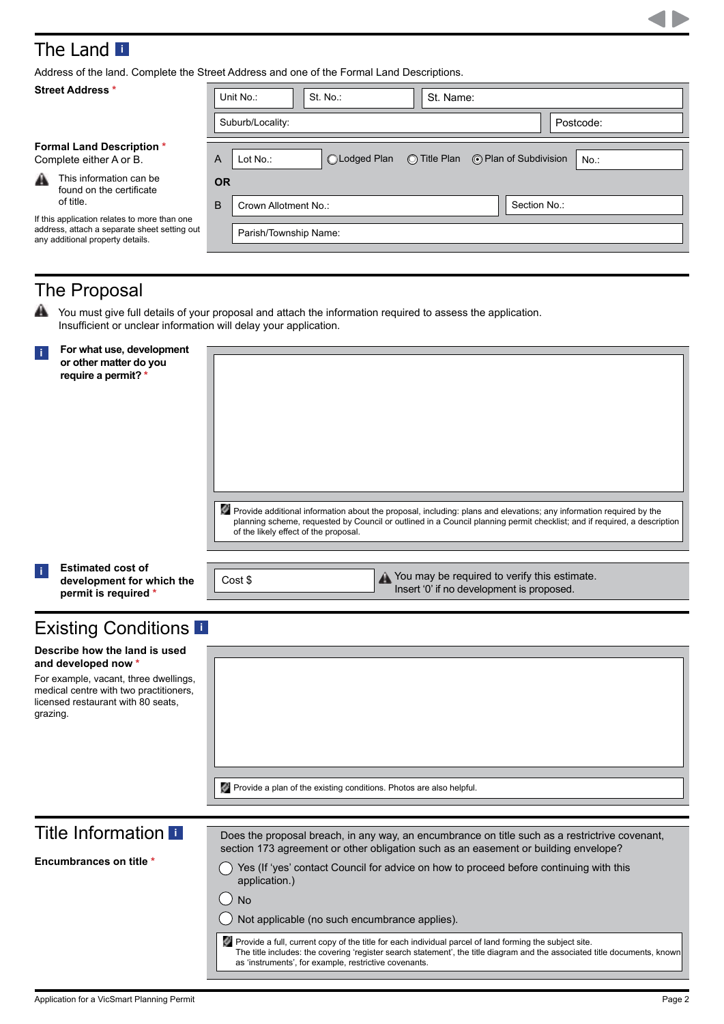## The Land**<sup>i</sup>**

Address of the land. Complete the Street Address and one of the Formal Land Descriptions.

| <b>Street Address *</b>                                                                                                          | St. No.:<br>Unit No.:<br>St. Name:                                                 |           |
|----------------------------------------------------------------------------------------------------------------------------------|------------------------------------------------------------------------------------|-----------|
|                                                                                                                                  | Suburb/Locality:                                                                   | Postcode: |
| <b>Formal Land Description *</b><br>Complete either A or B.                                                                      | ⊙ Plan of Subdivision<br>$\bigcirc$ Title Plan<br>A<br>◯Lodged Plan<br>Lot $No.$ : | $No.$ :   |
| This information can be<br>A<br>found on the certificate<br>of title.                                                            | <b>OR</b><br>B<br>Section No.:<br>Crown Allotment No.:                             |           |
| If this application relates to more than one<br>address, attach a separate sheet setting out<br>any additional property details. | Parish/Township Name:                                                              |           |
|                                                                                                                                  |                                                                                    |           |

### The Proposal

₳ You must give full details of your proposal and attach the information required to assess the application. Insufficient or unclear information will delay your application.

| $\mathbf{I}$ | For what use, development<br>or other matter do you<br>require a permit? *                                                                                                    | Provide additional information about the proposal, including: plans and elevations; any information required by the<br>planning scheme, requested by Council or outlined in a Council planning permit checklist; and if required, a description<br>of the likely effect of the proposal. |
|--------------|-------------------------------------------------------------------------------------------------------------------------------------------------------------------------------|------------------------------------------------------------------------------------------------------------------------------------------------------------------------------------------------------------------------------------------------------------------------------------------|
| Ť.           | <b>Estimated cost of</b><br>development for which the<br>permit is required *                                                                                                 | Nou may be required to verify this estimate.<br>Insert '0' if no development is proposed.<br>Cost \$                                                                                                                                                                                     |
|              | <b>Existing Conditions</b>                                                                                                                                                    |                                                                                                                                                                                                                                                                                          |
| grazing.     | Describe how the land is used<br>and developed now *<br>For example, vacant, three dwellings,<br>medical centre with two practitioners,<br>licensed restaurant with 80 seats, |                                                                                                                                                                                                                                                                                          |
|              |                                                                                                                                                                               | Provide a plan of the existing conditions. Photos are also helpful.                                                                                                                                                                                                                      |
|              | <b>Title Information II</b>                                                                                                                                                   | Does the proposal breach, in any way, an encumbrance on title such as a restrictrive covenant,                                                                                                                                                                                           |
|              | <b>Encumbrances on title *</b>                                                                                                                                                | section 173 agreement or other obligation such as an easement or building envelope?<br>Yes (If 'yes' contact Council for advice on how to proceed before continuing with this<br>application.)<br><b>No</b>                                                                              |

Provide a full, current copy of the title for each individual parcel of land forming the subject site. The title includes: the covering 'register search statement', the title diagram and the associated title documents, known as 'instruments', for example, restrictive covenants.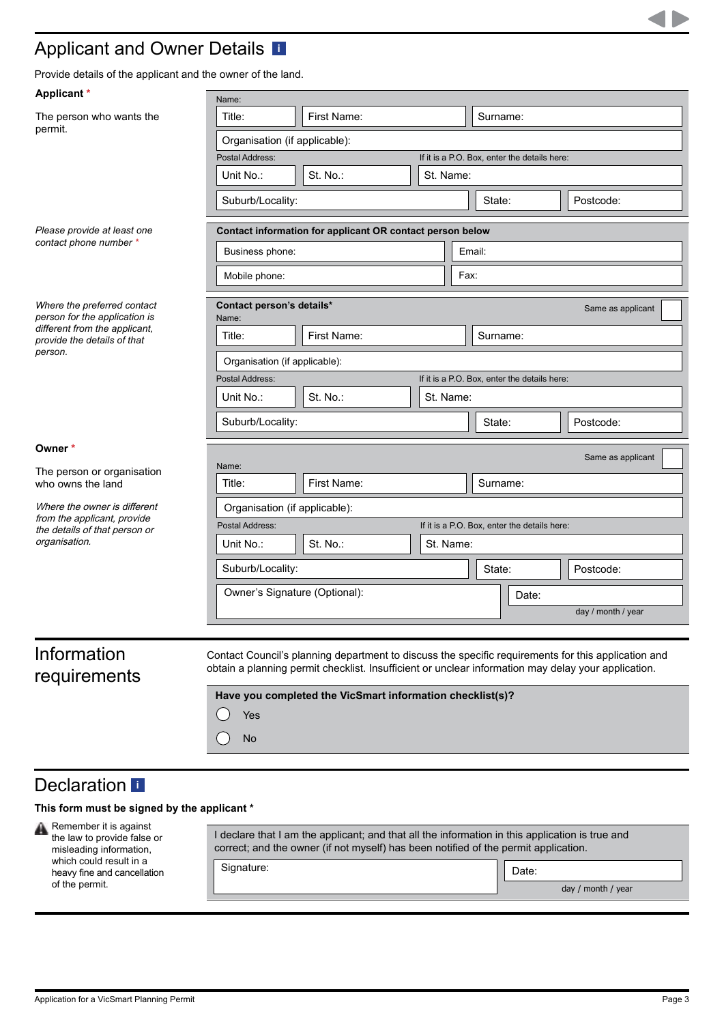### Applicant and Owner Details **[i](#page-5-0)**

Provide details of the applicant and the owner of the land.

| Applicant *                                                  | Name:                              |                                                                                                                                                                                                            |           |      |                                              |                                              |                    |
|--------------------------------------------------------------|------------------------------------|------------------------------------------------------------------------------------------------------------------------------------------------------------------------------------------------------------|-----------|------|----------------------------------------------|----------------------------------------------|--------------------|
| The person who wants the                                     | Title:                             | First Name:                                                                                                                                                                                                |           |      | Surname:                                     |                                              |                    |
| permit.                                                      | Organisation (if applicable):      |                                                                                                                                                                                                            |           |      |                                              |                                              |                    |
|                                                              | Postal Address:                    |                                                                                                                                                                                                            |           |      |                                              | If it is a P.O. Box, enter the details here: |                    |
|                                                              | Unit No.:                          | St. No.:                                                                                                                                                                                                   | St. Name: |      |                                              |                                              |                    |
|                                                              | Suburb/Locality:                   |                                                                                                                                                                                                            |           |      | State:                                       |                                              | Postcode:          |
| Please provide at least one                                  |                                    | Contact information for applicant OR contact person below                                                                                                                                                  |           |      |                                              |                                              |                    |
| contact phone number *                                       | Business phone:                    |                                                                                                                                                                                                            |           |      | Email:                                       |                                              |                    |
|                                                              | Mobile phone:                      |                                                                                                                                                                                                            |           | Fax: |                                              |                                              |                    |
| Where the preferred contact<br>person for the application is | Contact person's details*<br>Name: |                                                                                                                                                                                                            |           |      |                                              |                                              | Same as applicant  |
| different from the applicant,<br>provide the details of that | Title:                             | First Name:                                                                                                                                                                                                |           |      | Surname:                                     |                                              |                    |
| person.                                                      | Organisation (if applicable):      |                                                                                                                                                                                                            |           |      |                                              |                                              |                    |
|                                                              | Postal Address:                    |                                                                                                                                                                                                            |           |      | If it is a P.O. Box, enter the details here: |                                              |                    |
|                                                              | Unit No.:                          | St. No.:                                                                                                                                                                                                   | St. Name: |      |                                              |                                              |                    |
|                                                              | Suburb/Locality:                   |                                                                                                                                                                                                            |           |      | State:                                       |                                              | Postcode:          |
| Owner*                                                       |                                    |                                                                                                                                                                                                            |           |      |                                              |                                              | Same as applicant  |
| The person or organisation                                   | Name:                              |                                                                                                                                                                                                            |           |      |                                              |                                              |                    |
| who owns the land                                            | Title:                             | First Name:                                                                                                                                                                                                |           |      | Surname:                                     |                                              |                    |
| Where the owner is different                                 | Organisation (if applicable):      |                                                                                                                                                                                                            |           |      |                                              |                                              |                    |
| from the applicant, provide<br>the details of that person or | Postal Address:                    |                                                                                                                                                                                                            |           |      |                                              | If it is a P.O. Box, enter the details here: |                    |
| organisation.                                                | Unit No.:                          | $St. No.$ :                                                                                                                                                                                                | St. Name: |      |                                              |                                              |                    |
|                                                              | Suburb/Locality:                   |                                                                                                                                                                                                            |           |      | State:                                       |                                              | Postcode:          |
|                                                              | Owner's Signature (Optional):      |                                                                                                                                                                                                            |           |      | Date:                                        |                                              |                    |
|                                                              |                                    |                                                                                                                                                                                                            |           |      |                                              |                                              | day / month / year |
|                                                              |                                    |                                                                                                                                                                                                            |           |      |                                              |                                              |                    |
| Information<br>requirements                                  |                                    | Contact Council's planning department to discuss the specific requirements for this application and<br>obtain a planning permit checklist. Insufficient or unclear information may delay your application. |           |      |                                              |                                              |                    |
|                                                              | Yes                                | Have you completed the VicSmart information checklist(s)?                                                                                                                                                  |           |      |                                              |                                              |                    |

### Declaration**<sup>i</sup>**

### **This form must be signed by the applicant \***

No

 $\bigcap$ 

Remember it is against the law to provide false or misleading information, which could result in a heavy fine and cancellation of the permit.

| I declare that I am the applicant; and that all the information in this application is true and<br>correct; and the owner (if not myself) has been notified of the permit application. |                    |
|----------------------------------------------------------------------------------------------------------------------------------------------------------------------------------------|--------------------|
| Signature:                                                                                                                                                                             | Date:              |
|                                                                                                                                                                                        | day / month / year |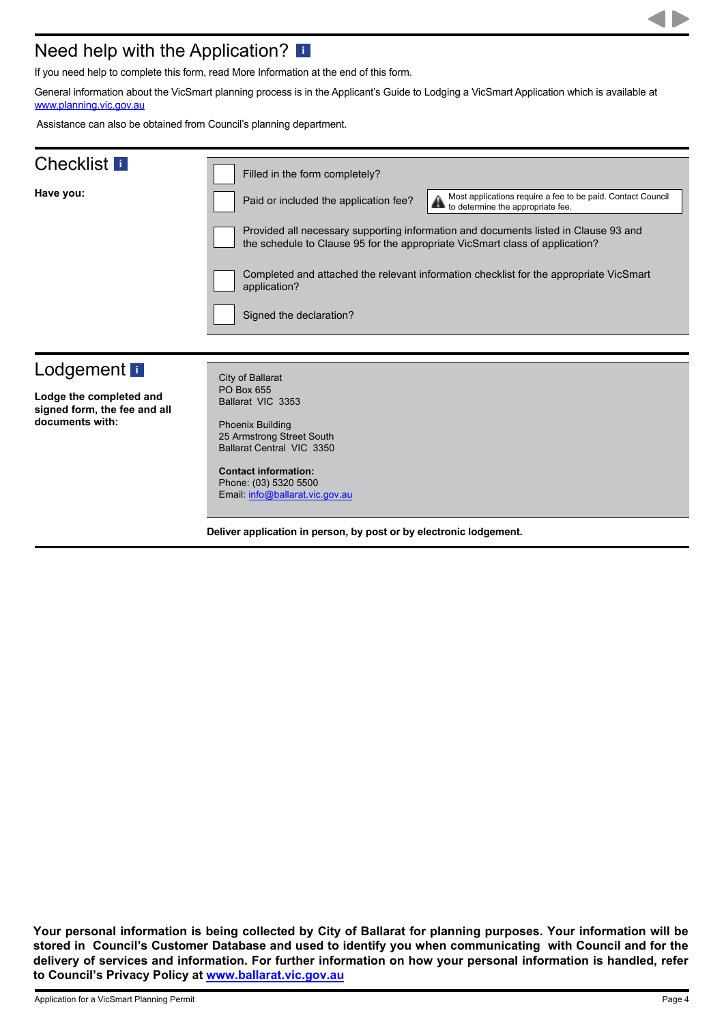### Need help with the Application? **[i](#page-5-0)**

If you need help to complete this form, read More Information at the end of this form.

General information about the VicSmart planning process is in the Applicant's Guide to Lodging a VicSmart Application which is available at [www.planning.vic.gov.au](http://www.planning.vic.gov.au)

Assistance can also be obtained from Council's planning department.

| <b>Checklist</b>                                | Filled in the form completely?                                                                                                                                               |
|-------------------------------------------------|------------------------------------------------------------------------------------------------------------------------------------------------------------------------------|
| Have you:                                       | Most applications require a fee to be paid. Contact Council<br>Paid or included the application fee?<br>to determine the appropriate fee.                                    |
|                                                 | Provided all necessary supporting information and documents listed in Clause 93 and<br>the schedule to Clause 95 for the appropriate VicSmart class of application?          |
|                                                 | Completed and attached the relevant information checklist for the appropriate VicSmart<br>application?                                                                       |
|                                                 | Signed the declaration?                                                                                                                                                      |
|                                                 |                                                                                                                                                                              |
| Lodgement <b>i</b>                              | City of Ballarat                                                                                                                                                             |
| Lodge the completed and                         | PO Box 655<br>Ballarat VIC 3353                                                                                                                                              |
| signed form, the fee and all<br>documents with: | <b>Phoenix Building</b><br>25 Armstrong Street South<br>Ballarat Central VIC 3350<br><b>Contact information:</b><br>Phone: (03) 5320 5500<br>Email: info@ballarat.vic.gov.au |
|                                                 |                                                                                                                                                                              |
|                                                 | Deliver application in person, by post or by electronic lodgement.                                                                                                           |

**Your personal information is being collected by City of Ballarat for planning purposes. Your information will be stored in Council's Customer Database and used to identify you when communicating with Council and for the delivery of services and information. For further information on how your personal information is handled, refer to Council's Privacy Policy at www.ballarat.vic.gov.au**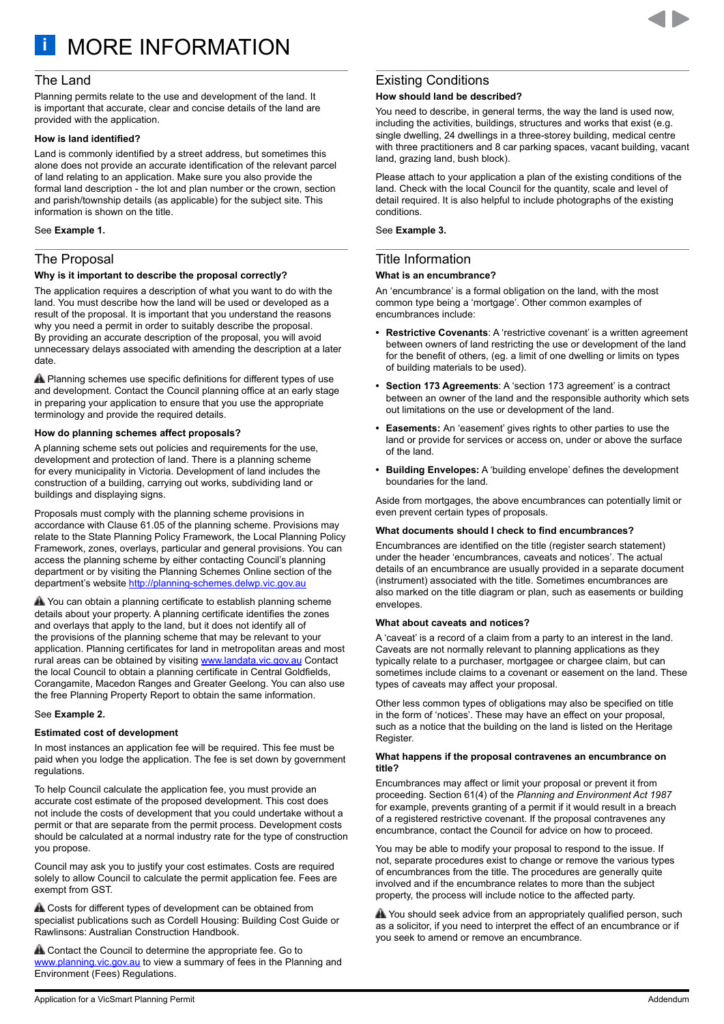<span id="page-4-0"></span>**i** MORE INFORMATION

#### The Land

Planning permits relate to the use and development of the land. It is important that accurate, clear and concise details of the land are provided with the application.

#### **How is land identified?**

Land is commonly identified by a street address, but sometimes this alone does not provide an accurate identification of the relevant parcel of land relating to an application. Make sure you also provide the formal land description - the lot and plan number or the crown, section and parish/township details (as applicable) for the subject site. This information is shown on the title.

#### See **Example 1.**

#### The Proposal

#### **Why is it important to describe the proposal correctly?**

The application requires a description of what you want to do with the land. You must describe how the land will be used or developed as a result of the proposal. It is important that you understand the reasons why you need a permit in order to suitably describe the proposal. By providing an accurate description of the proposal, you will avoid unnecessary delays associated with amending the description at a later date.

**A** Planning schemes use specific definitions for different types of use and development. Contact the Council planning office at an early stage in preparing your application to ensure that you use the appropriate terminology and provide the required details.

#### **How do planning schemes affect proposals?**

A planning scheme sets out policies and requirements for the use, development and protection of land. There is a planning scheme for every municipality in Victoria. Development of land includes the construction of a building, carrying out works, subdividing land or buildings and displaying signs.

Proposals must comply with the planning scheme provisions in accordance with Clause 61.05 of the planning scheme. Provisions may relate to the State Planning Policy Framework, the Local Planning Policy Framework, zones, overlays, particular and general provisions. You can access the planning scheme by either contacting Council's planning department or by visiting the Planning Schemes Online section of the department's website<http://planning-schemes.delwp.vic.gov.au>

You can obtain a planning certificate to establish planning scheme details about your property. A planning certificate identifies the zones and overlays that apply to the land, but it does not identify all of the provisions of the planning scheme that may be relevant to your application. Planning certificates for land in metropolitan areas and most rural areas can be obtained by visiting [www.landata.vic.gov.au](http://www.landata.vic.gov.au) Contact the local Council to obtain a planning certificate in Central Goldfields, Corangamite, Macedon Ranges and Greater Geelong. You can also use the free Planning Property Report to obtain the same information.

#### See **Example 2.**

#### **Estimated cost of development**

In most instances an application fee will be required. This fee must be paid when you lodge the application. The fee is set down by government regulations.

To help Council calculate the application fee, you must provide an accurate cost estimate of the proposed development. This cost does not include the costs of development that you could undertake without a permit or that are separate from the permit process. Development costs should be calculated at a normal industry rate for the type of construction you propose.

Council may ask you to justify your cost estimates. Costs are required solely to allow Council to calculate the permit application fee. Fees are exempt from GST.

**A** Costs for different types of development can be obtained from specialist publications such as Cordell Housing: Building Cost Guide or Rawlinsons: Australian Construction Handbook.

Contact the Council to determine the appropriate fee. Go to [www.planning.vic.gov.au](http://www.planning.vic.gov.au) to view a summary of fees in the Planning and Environment (Fees) Regulations.

#### Existing Conditions

#### **How should land be described?**

You need to describe, in general terms, the way the land is used now, including the activities, buildings, structures and works that exist (e.g. single dwelling, 24 dwellings in a three-storey building, medical centre with three practitioners and 8 car parking spaces, vacant building, vacant land, grazing land, bush block).

Please attach to your application a plan of the existing conditions of the land. Check with the local Council for the quantity, scale and level of detail required. It is also helpful to include photographs of the existing conditions.

See **Example 3.**

#### Title Information

#### **What is an encumbrance?**

An 'encumbrance' is a formal obligation on the land, with the most common type being a 'mortgage'. Other common examples of encumbrances include:

- **• Restrictive Covenants**: A 'restrictive covenant' is a written agreement between owners of land restricting the use or development of the land for the benefit of others, (eg. a limit of one dwelling or limits on types of building materials to be used).
- **• Section 173 Agreements**: A 'section 173 agreement' is a contract between an owner of the land and the responsible authority which sets out limitations on the use or development of the land.
- **• Easements:** An 'easement' gives rights to other parties to use the land or provide for services or access on, under or above the surface of the land.
- **• Building Envelopes:** A 'building envelope' defines the development boundaries for the land.

Aside from mortgages, the above encumbrances can potentially limit or even prevent certain types of proposals.

#### **What documents should I check to find encumbrances?**

Encumbrances are identified on the title (register search statement) under the header 'encumbrances, caveats and notices'. The actual details of an encumbrance are usually provided in a separate document (instrument) associated with the title. Sometimes encumbrances are also marked on the title diagram or plan, such as easements or building envelopes.

#### **What about caveats and notices?**

A 'caveat' is a record of a claim from a party to an interest in the land. Caveats are not normally relevant to planning applications as they typically relate to a purchaser, mortgagee or chargee claim, but can sometimes include claims to a covenant or easement on the land. These types of caveats may affect your proposal.

Other less common types of obligations may also be specified on title in the form of 'notices'. These may have an effect on your proposal, such as a notice that the building on the land is listed on the Heritage Register.

#### **What happens if the proposal contravenes an encumbrance on title?**

Encumbrances may affect or limit your proposal or prevent it from proceeding. Section 61(4) of the *Planning and Environment Act 1987* for example, prevents granting of a permit if it would result in a breach of a registered restrictive covenant. If the proposal contravenes any encumbrance, contact the Council for advice on how to proceed.

You may be able to modify your proposal to respond to the issue. If not, separate procedures exist to change or remove the various types of encumbrances from the title. The procedures are generally quite involved and if the encumbrance relates to more than the subject property, the process will include notice to the affected party.

A You should seek advice from an appropriately qualified person, such as a solicitor, if you need to interpret the effect of an encumbrance or if you seek to amend or remove an encumbrance.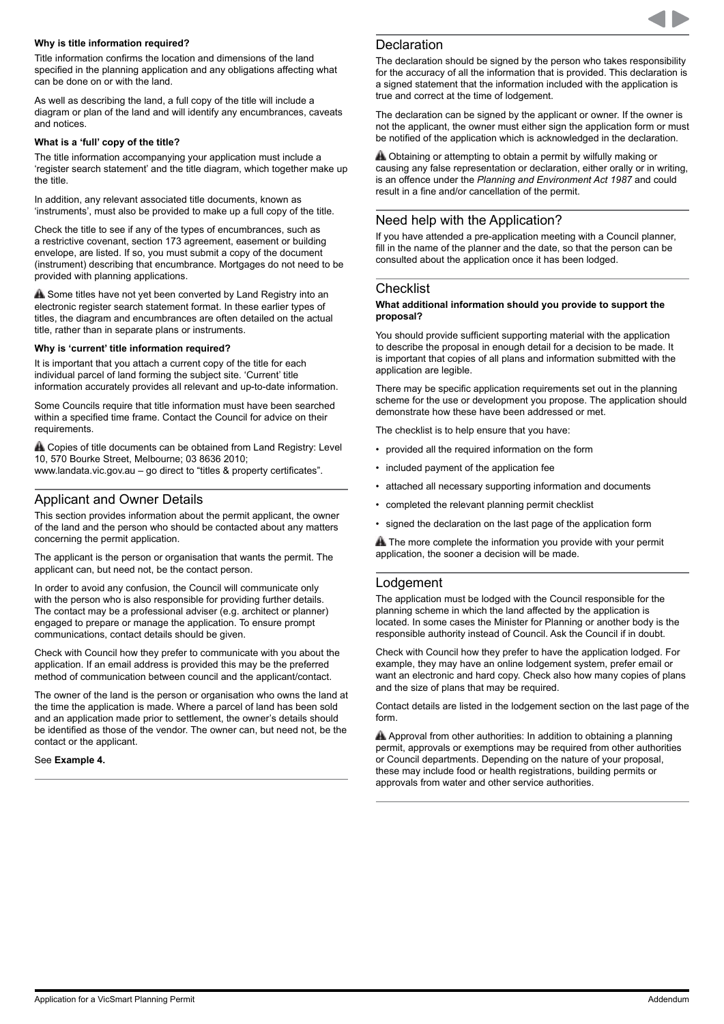#### <span id="page-5-0"></span>**Why is title information required?**

Title information confirms the location and dimensions of the land specified in the planning application and any obligations affecting what can be done on or with the land.

As well as describing the land, a full copy of the title will include a diagram or plan of the land and will identify any encumbrances, caveats and notices.

#### **What is a 'full' copy of the title?**

The title information accompanying your application must include a 'register search statement' and the title diagram, which together make up the title.

In addition, any relevant associated title documents, known as 'instruments', must also be provided to make up a full copy of the title.

Check the title to see if any of the types of encumbrances, such as a restrictive covenant, section 173 agreement, easement or building envelope, are listed. If so, you must submit a copy of the document (instrument) describing that encumbrance. Mortgages do not need to be provided with planning applications.

A Some titles have not yet been converted by Land Registry into an electronic register search statement format. In these earlier types of titles, the diagram and encumbrances are often detailed on the actual title, rather than in separate plans or instruments.

#### **Why is 'current' title information required?**

It is important that you attach a current copy of the title for each individual parcel of land forming the subject site. 'Current' title information accurately provides all relevant and up-to-date information.

Some Councils require that title information must have been searched within a specified time frame. Contact the Council for advice on their requirements.

**A.** Copies of title documents can be obtained from Land Registry: Level 10, 570 Bourke Street, Melbourne; 03 8636 2010; www.landata.vic.gov.au – go direct to "titles & property certificates".

#### Applicant and Owner Details

This section provides information about the permit applicant, the owner of the land and the person who should be contacted about any matters concerning the permit application.

The applicant is the person or organisation that wants the permit. The applicant can, but need not, be the contact person.

In order to avoid any confusion, the Council will communicate only with the person who is also responsible for providing further details. The contact may be a professional adviser (e.g. architect or planner) engaged to prepare or manage the application. To ensure prompt communications, contact details should be given.

Check with Council how they prefer to communicate with you about the application. If an email address is provided this may be the preferred method of communication between council and the applicant/contact.

The owner of the land is the person or organisation who owns the land at the time the application is made. Where a parcel of land has been sold and an application made prior to settlement, the owner's details should be identified as those of the vendor. The owner can, but need not, be the contact or the applicant.

See **Example 4.**

#### **Declaration**

The declaration should be signed by the person who takes responsibility for the accuracy of all the information that is provided. This declaration is a signed statement that the information included with the application is true and correct at the time of lodgement.

The declaration can be signed by the applicant or owner. If the owner is not the applicant, the owner must either sign the application form or must be notified of the application which is acknowledged in the declaration.

A Obtaining or attempting to obtain a permit by wilfully making or causing any false representation or declaration, either orally or in writing, is an offence under the *Planning and Environment Act 1987* and could result in a fine and/or cancellation of the permit.

#### Need help with the Application?

If you have attended a pre-application meeting with a Council planner, fill in the name of the planner and the date, so that the person can be consulted about the application once it has been lodged.

#### **Checklist**

#### **What additional information should you provide to support the proposal?**

You should provide sufficient supporting material with the application to describe the proposal in enough detail for a decision to be made. It is important that copies of all plans and information submitted with the application are legible.

There may be specific application requirements set out in the planning scheme for the use or development you propose. The application should demonstrate how these have been addressed or met.

The checklist is to help ensure that you have:

- provided all the required information on the form
- included payment of the application fee
- attached all necessary supporting information and documents
- completed the relevant planning permit checklist
- signed the declaration on the last page of the application form

**A** The more complete the information you provide with your permit application, the sooner a decision will be made.

#### Lodgement

The application must be lodged with the Council responsible for the planning scheme in which the land affected by the application is located. In some cases the Minister for Planning or another body is the responsible authority instead of Council. Ask the Council if in doubt.

Check with Council how they prefer to have the application lodged. For example, they may have an online lodgement system, prefer email or want an electronic and hard copy. Check also how many copies of plans and the size of plans that may be required.

Contact details are listed in the lodgement section on the last page of the form.

A Approval from other authorities: In addition to obtaining a planning permit, approvals or exemptions may be required from other authorities or Council departments. Depending on the nature of your proposal, these may include food or health registrations, building permits or approvals from water and other service authorities.